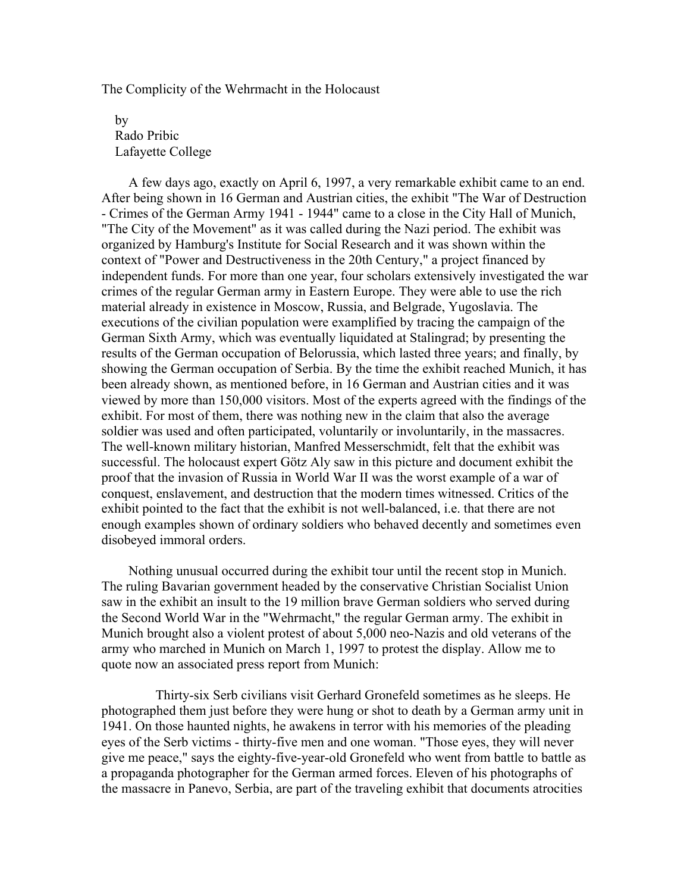The Complicity of the Wehrmacht in the Holocaust

 by Rado Pribic Lafayette College

 A few days ago, exactly on April 6, 1997, a very remarkable exhibit came to an end. After being shown in 16 German and Austrian cities, the exhibit "The War of Destruction - Crimes of the German Army 1941 - 1944" came to a close in the City Hall of Munich, "The City of the Movement" as it was called during the Nazi period. The exhibit was organized by Hamburg's Institute for Social Research and it was shown within the context of "Power and Destructiveness in the 20th Century," a project financed by independent funds. For more than one year, four scholars extensively investigated the war crimes of the regular German army in Eastern Europe. They were able to use the rich material already in existence in Moscow, Russia, and Belgrade, Yugoslavia. The executions of the civilian population were examplified by tracing the campaign of the German Sixth Army, which was eventually liquidated at Stalingrad; by presenting the results of the German occupation of Belorussia, which lasted three years; and finally, by showing the German occupation of Serbia. By the time the exhibit reached Munich, it has been already shown, as mentioned before, in 16 German and Austrian cities and it was viewed by more than 150,000 visitors. Most of the experts agreed with the findings of the exhibit. For most of them, there was nothing new in the claim that also the average soldier was used and often participated, voluntarily or involuntarily, in the massacres. The well-known military historian, Manfred Messerschmidt, felt that the exhibit was successful. The holocaust expert Götz Aly saw in this picture and document exhibit the proof that the invasion of Russia in World War II was the worst example of a war of conquest, enslavement, and destruction that the modern times witnessed. Critics of the exhibit pointed to the fact that the exhibit is not well-balanced, i.e. that there are not enough examples shown of ordinary soldiers who behaved decently and sometimes even disobeyed immoral orders.

 Nothing unusual occurred during the exhibit tour until the recent stop in Munich. The ruling Bavarian government headed by the conservative Christian Socialist Union saw in the exhibit an insult to the 19 million brave German soldiers who served during the Second World War in the "Wehrmacht," the regular German army. The exhibit in Munich brought also a violent protest of about 5,000 neo-Nazis and old veterans of the army who marched in Munich on March 1, 1997 to protest the display. Allow me to quote now an associated press report from Munich:

 Thirty-six Serb civilians visit Gerhard Gronefeld sometimes as he sleeps. He photographed them just before they were hung or shot to death by a German army unit in 1941. On those haunted nights, he awakens in terror with his memories of the pleading eyes of the Serb victims - thirty-five men and one woman. "Those eyes, they will never give me peace," says the eighty-five-year-old Gronefeld who went from battle to battle as a propaganda photographer for the German armed forces. Eleven of his photographs of the massacre in Panevo, Serbia, are part of the traveling exhibit that documents atrocities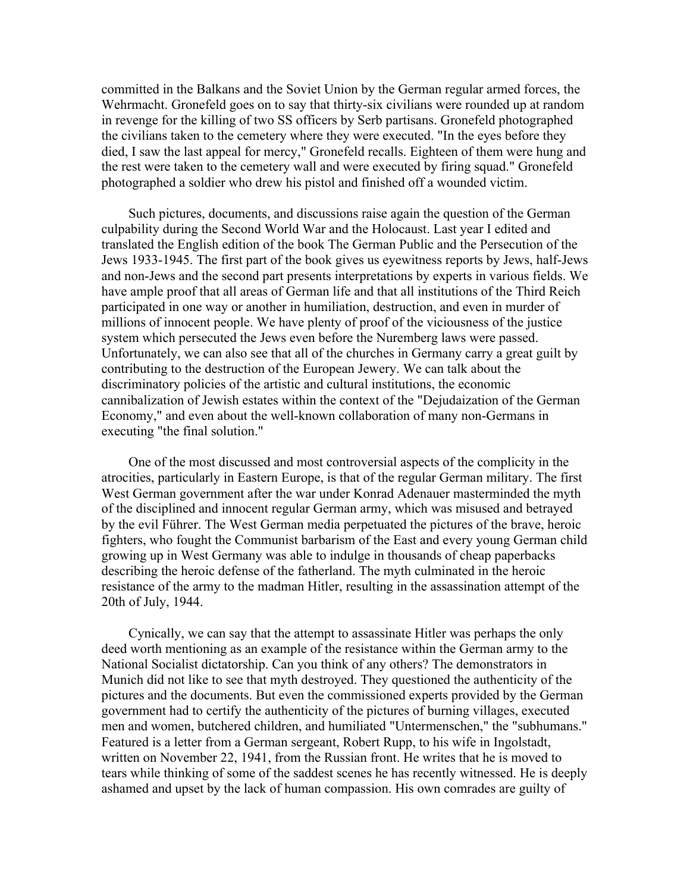committed in the Balkans and the Soviet Union by the German regular armed forces, the Wehrmacht. Gronefeld goes on to say that thirty-six civilians were rounded up at random in revenge for the killing of two SS officers by Serb partisans. Gronefeld photographed the civilians taken to the cemetery where they were executed. "In the eyes before they died, I saw the last appeal for mercy," Gronefeld recalls. Eighteen of them were hung and the rest were taken to the cemetery wall and were executed by firing squad." Gronefeld photographed a soldier who drew his pistol and finished off a wounded victim.

 Such pictures, documents, and discussions raise again the question of the German culpability during the Second World War and the Holocaust. Last year I edited and translated the English edition of the book The German Public and the Persecution of the Jews 1933-1945. The first part of the book gives us eyewitness reports by Jews, half-Jews and non-Jews and the second part presents interpretations by experts in various fields. We have ample proof that all areas of German life and that all institutions of the Third Reich participated in one way or another in humiliation, destruction, and even in murder of millions of innocent people. We have plenty of proof of the viciousness of the justice system which persecuted the Jews even before the Nuremberg laws were passed. Unfortunately, we can also see that all of the churches in Germany carry a great guilt by contributing to the destruction of the European Jewery. We can talk about the discriminatory policies of the artistic and cultural institutions, the economic cannibalization of Jewish estates within the context of the "Dejudaization of the German Economy," and even about the well-known collaboration of many non-Germans in executing "the final solution."

 One of the most discussed and most controversial aspects of the complicity in the atrocities, particularly in Eastern Europe, is that of the regular German military. The first West German government after the war under Konrad Adenauer masterminded the myth of the disciplined and innocent regular German army, which was misused and betrayed by the evil Führer. The West German media perpetuated the pictures of the brave, heroic fighters, who fought the Communist barbarism of the East and every young German child growing up in West Germany was able to indulge in thousands of cheap paperbacks describing the heroic defense of the fatherland. The myth culminated in the heroic resistance of the army to the madman Hitler, resulting in the assassination attempt of the 20th of July, 1944.

 Cynically, we can say that the attempt to assassinate Hitler was perhaps the only deed worth mentioning as an example of the resistance within the German army to the National Socialist dictatorship. Can you think of any others? The demonstrators in Munich did not like to see that myth destroyed. They questioned the authenticity of the pictures and the documents. But even the commissioned experts provided by the German government had to certify the authenticity of the pictures of burning villages, executed men and women, butchered children, and humiliated "Untermenschen," the "subhumans." Featured is a letter from a German sergeant, Robert Rupp, to his wife in Ingolstadt, written on November 22, 1941, from the Russian front. He writes that he is moved to tears while thinking of some of the saddest scenes he has recently witnessed. He is deeply ashamed and upset by the lack of human compassion. His own comrades are guilty of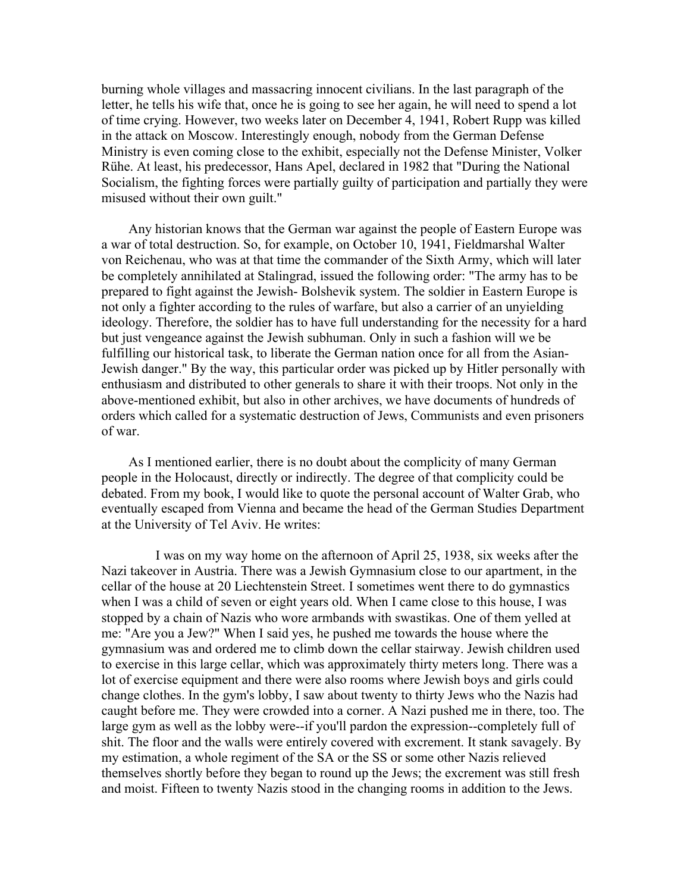burning whole villages and massacring innocent civilians. In the last paragraph of the letter, he tells his wife that, once he is going to see her again, he will need to spend a lot of time crying. However, two weeks later on December 4, 1941, Robert Rupp was killed in the attack on Moscow. Interestingly enough, nobody from the German Defense Ministry is even coming close to the exhibit, especially not the Defense Minister, Volker Rühe. At least, his predecessor, Hans Apel, declared in 1982 that "During the National Socialism, the fighting forces were partially guilty of participation and partially they were misused without their own guilt."

 Any historian knows that the German war against the people of Eastern Europe was a war of total destruction. So, for example, on October 10, 1941, Fieldmarshal Walter von Reichenau, who was at that time the commander of the Sixth Army, which will later be completely annihilated at Stalingrad, issued the following order: "The army has to be prepared to fight against the Jewish- Bolshevik system. The soldier in Eastern Europe is not only a fighter according to the rules of warfare, but also a carrier of an unyielding ideology. Therefore, the soldier has to have full understanding for the necessity for a hard but just vengeance against the Jewish subhuman. Only in such a fashion will we be fulfilling our historical task, to liberate the German nation once for all from the Asian-Jewish danger." By the way, this particular order was picked up by Hitler personally with enthusiasm and distributed to other generals to share it with their troops. Not only in the above-mentioned exhibit, but also in other archives, we have documents of hundreds of orders which called for a systematic destruction of Jews, Communists and even prisoners of war.

 As I mentioned earlier, there is no doubt about the complicity of many German people in the Holocaust, directly or indirectly. The degree of that complicity could be debated. From my book, I would like to quote the personal account of Walter Grab, who eventually escaped from Vienna and became the head of the German Studies Department at the University of Tel Aviv. He writes:

 I was on my way home on the afternoon of April 25, 1938, six weeks after the Nazi takeover in Austria. There was a Jewish Gymnasium close to our apartment, in the cellar of the house at 20 Liechtenstein Street. I sometimes went there to do gymnastics when I was a child of seven or eight years old. When I came close to this house, I was stopped by a chain of Nazis who wore armbands with swastikas. One of them yelled at me: "Are you a Jew?" When I said yes, he pushed me towards the house where the gymnasium was and ordered me to climb down the cellar stairway. Jewish children used to exercise in this large cellar, which was approximately thirty meters long. There was a lot of exercise equipment and there were also rooms where Jewish boys and girls could change clothes. In the gym's lobby, I saw about twenty to thirty Jews who the Nazis had caught before me. They were crowded into a corner. A Nazi pushed me in there, too. The large gym as well as the lobby were--if you'll pardon the expression--completely full of shit. The floor and the walls were entirely covered with excrement. It stank savagely. By my estimation, a whole regiment of the SA or the SS or some other Nazis relieved themselves shortly before they began to round up the Jews; the excrement was still fresh and moist. Fifteen to twenty Nazis stood in the changing rooms in addition to the Jews.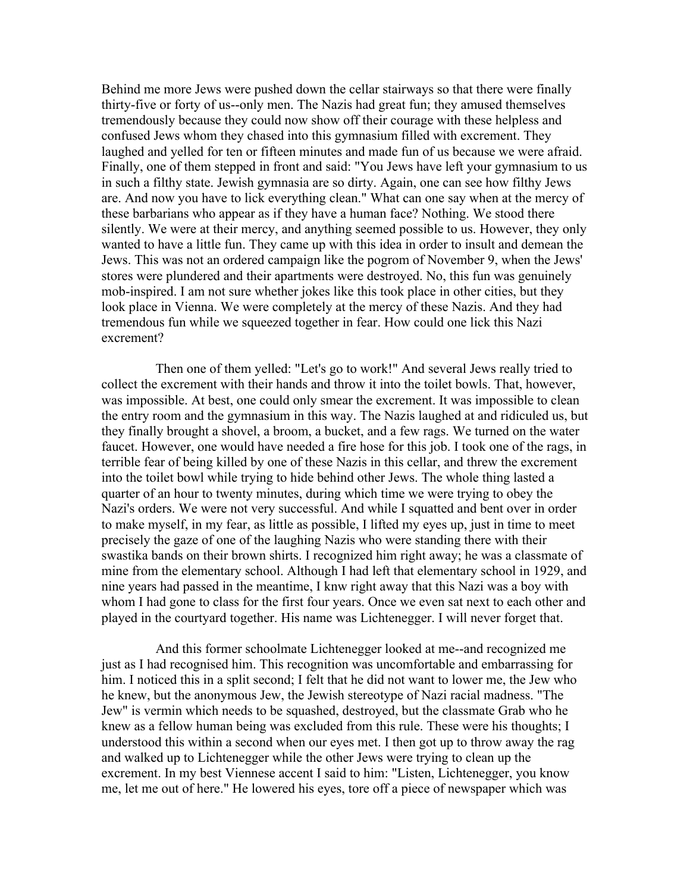Behind me more Jews were pushed down the cellar stairways so that there were finally thirty-five or forty of us--only men. The Nazis had great fun; they amused themselves tremendously because they could now show off their courage with these helpless and confused Jews whom they chased into this gymnasium filled with excrement. They laughed and yelled for ten or fifteen minutes and made fun of us because we were afraid. Finally, one of them stepped in front and said: "You Jews have left your gymnasium to us in such a filthy state. Jewish gymnasia are so dirty. Again, one can see how filthy Jews are. And now you have to lick everything clean." What can one say when at the mercy of these barbarians who appear as if they have a human face? Nothing. We stood there silently. We were at their mercy, and anything seemed possible to us. However, they only wanted to have a little fun. They came up with this idea in order to insult and demean the Jews. This was not an ordered campaign like the pogrom of November 9, when the Jews' stores were plundered and their apartments were destroyed. No, this fun was genuinely mob-inspired. I am not sure whether jokes like this took place in other cities, but they look place in Vienna. We were completely at the mercy of these Nazis. And they had tremendous fun while we squeezed together in fear. How could one lick this Nazi excrement?

 Then one of them yelled: "Let's go to work!" And several Jews really tried to collect the excrement with their hands and throw it into the toilet bowls. That, however, was impossible. At best, one could only smear the excrement. It was impossible to clean the entry room and the gymnasium in this way. The Nazis laughed at and ridiculed us, but they finally brought a shovel, a broom, a bucket, and a few rags. We turned on the water faucet. However, one would have needed a fire hose for this job. I took one of the rags, in terrible fear of being killed by one of these Nazis in this cellar, and threw the excrement into the toilet bowl while trying to hide behind other Jews. The whole thing lasted a quarter of an hour to twenty minutes, during which time we were trying to obey the Nazi's orders. We were not very successful. And while I squatted and bent over in order to make myself, in my fear, as little as possible, I lifted my eyes up, just in time to meet precisely the gaze of one of the laughing Nazis who were standing there with their swastika bands on their brown shirts. I recognized him right away; he was a classmate of mine from the elementary school. Although I had left that elementary school in 1929, and nine years had passed in the meantime, I knw right away that this Nazi was a boy with whom I had gone to class for the first four years. Once we even sat next to each other and played in the courtyard together. His name was Lichtenegger. I will never forget that.

 And this former schoolmate Lichtenegger looked at me--and recognized me just as I had recognised him. This recognition was uncomfortable and embarrassing for him. I noticed this in a split second; I felt that he did not want to lower me, the Jew who he knew, but the anonymous Jew, the Jewish stereotype of Nazi racial madness. "The Jew" is vermin which needs to be squashed, destroyed, but the classmate Grab who he knew as a fellow human being was excluded from this rule. These were his thoughts; I understood this within a second when our eyes met. I then got up to throw away the rag and walked up to Lichtenegger while the other Jews were trying to clean up the excrement. In my best Viennese accent I said to him: "Listen, Lichtenegger, you know me, let me out of here." He lowered his eyes, tore off a piece of newspaper which was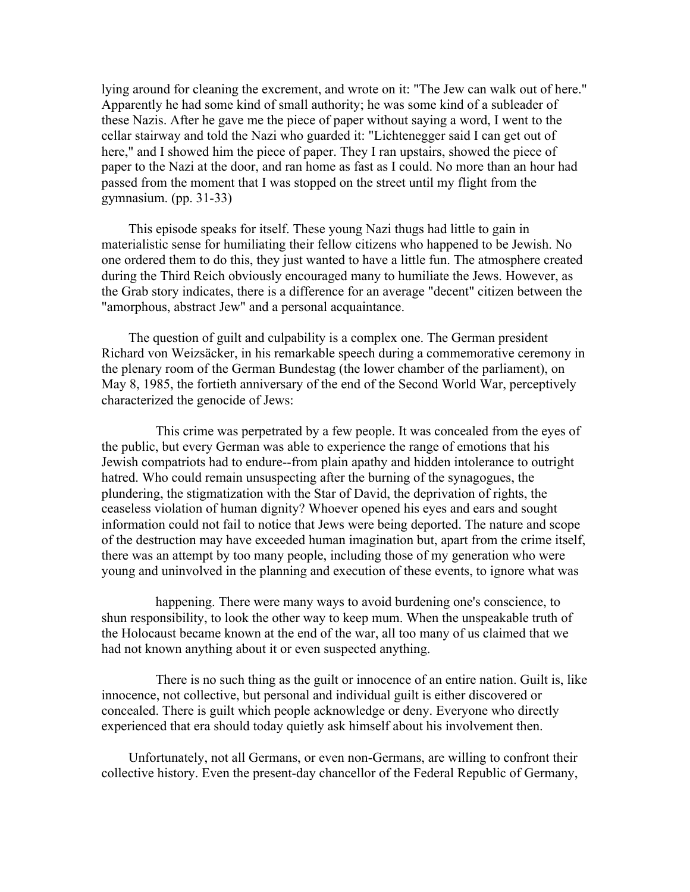lying around for cleaning the excrement, and wrote on it: "The Jew can walk out of here." Apparently he had some kind of small authority; he was some kind of a subleader of these Nazis. After he gave me the piece of paper without saying a word, I went to the cellar stairway and told the Nazi who guarded it: "Lichtenegger said I can get out of here," and I showed him the piece of paper. They I ran upstairs, showed the piece of paper to the Nazi at the door, and ran home as fast as I could. No more than an hour had passed from the moment that I was stopped on the street until my flight from the gymnasium. (pp. 31-33)

 This episode speaks for itself. These young Nazi thugs had little to gain in materialistic sense for humiliating their fellow citizens who happened to be Jewish. No one ordered them to do this, they just wanted to have a little fun. The atmosphere created during the Third Reich obviously encouraged many to humiliate the Jews. However, as the Grab story indicates, there is a difference for an average "decent" citizen between the "amorphous, abstract Jew" and a personal acquaintance.

 The question of guilt and culpability is a complex one. The German president Richard von Weizsäcker, in his remarkable speech during a commemorative ceremony in the plenary room of the German Bundestag (the lower chamber of the parliament), on May 8, 1985, the fortieth anniversary of the end of the Second World War, perceptively characterized the genocide of Jews:

 This crime was perpetrated by a few people. It was concealed from the eyes of the public, but every German was able to experience the range of emotions that his Jewish compatriots had to endure--from plain apathy and hidden intolerance to outright hatred. Who could remain unsuspecting after the burning of the synagogues, the plundering, the stigmatization with the Star of David, the deprivation of rights, the ceaseless violation of human dignity? Whoever opened his eyes and ears and sought information could not fail to notice that Jews were being deported. The nature and scope of the destruction may have exceeded human imagination but, apart from the crime itself, there was an attempt by too many people, including those of my generation who were young and uninvolved in the planning and execution of these events, to ignore what was

 happening. There were many ways to avoid burdening one's conscience, to shun responsibility, to look the other way to keep mum. When the unspeakable truth of the Holocaust became known at the end of the war, all too many of us claimed that we had not known anything about it or even suspected anything.

 There is no such thing as the guilt or innocence of an entire nation. Guilt is, like innocence, not collective, but personal and individual guilt is either discovered or concealed. There is guilt which people acknowledge or deny. Everyone who directly experienced that era should today quietly ask himself about his involvement then.

 Unfortunately, not all Germans, or even non-Germans, are willing to confront their collective history. Even the present-day chancellor of the Federal Republic of Germany,